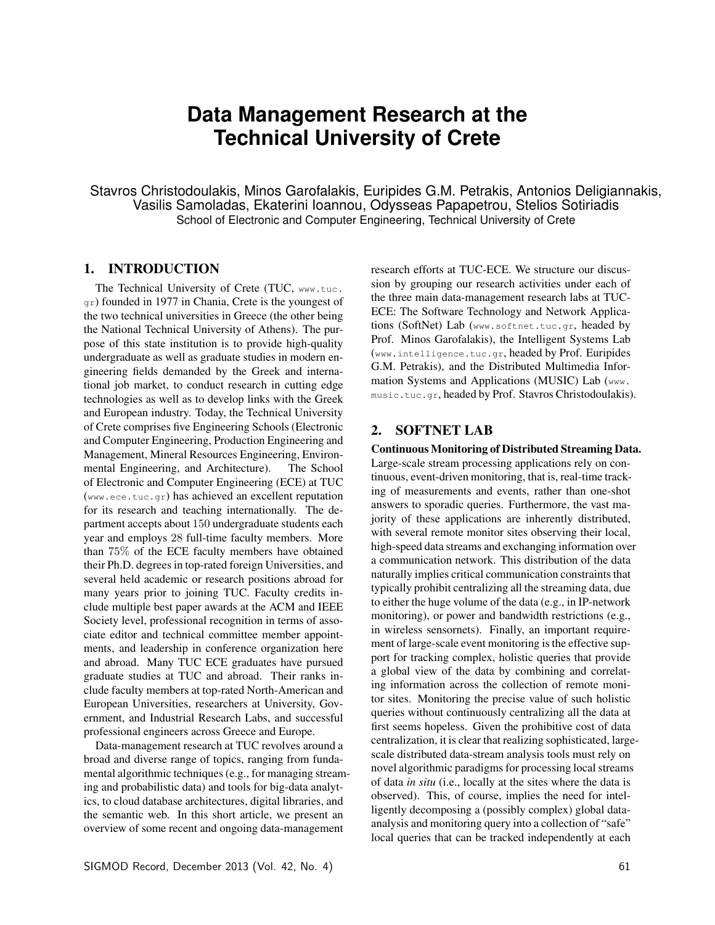# **Data Management Research at the Technical University of Crete**

Stavros Christodoulakis, Minos Garofalakis, Euripides G.M. Petrakis, Antonios Deligiannakis, Vasilis Samoladas, Ekaterini Ioannou, Odysseas Papapetrou, Stelios Sotiriadis School of Electronic and Computer Engineering, Technical University of Crete

## 1. INTRODUCTION

The Technical University of Crete (TUC, www.tuc.  $gr$ ) founded in 1977 in Chania, Crete is the youngest of the two technical universities in Greece (the other being the National Technical University of Athens). The purpose of this state institution is to provide high-quality undergraduate as well as graduate studies in modern engineering fields demanded by the Greek and international job market, to conduct research in cutting edge technologies as well as to develop links with the Greek and European industry. Today, the Technical University of Crete comprises five Engineering Schools (Electronic and Computer Engineering, Production Engineering and Management, Mineral Resources Engineering, Environmental Engineering, and Architecture). The School of Electronic and Computer Engineering (ECE) at TUC (www.ece.tuc.gr) has achieved an excellent reputation for its research and teaching internationally. The department accepts about 150 undergraduate students each year and employs 28 full-time faculty members. More than 75% of the ECE faculty members have obtained their Ph.D. degrees in top-rated foreign Universities, and several held academic or research positions abroad for many years prior to joining TUC. Faculty credits include multiple best paper awards at the ACM and IEEE Society level, professional recognition in terms of associate editor and technical committee member appointments, and leadership in conference organization here and abroad. Many TUC ECE graduates have pursued graduate studies at TUC and abroad. Their ranks include faculty members at top-rated North-American and European Universities, researchers at University, Government, and Industrial Research Labs, and successful professional engineers across Greece and Europe.

Data-management research at TUC revolves around a broad and diverse range of topics, ranging from fundamental algorithmic techniques (e.g., for managing streaming and probabilistic data) and tools for big-data analytics, to cloud database architectures, digital libraries, and the semantic web. In this short article, we present an overview of some recent and ongoing data-management

research efforts at TUC-ECE. We structure our discussion by grouping our research activities under each of the three main data-management research labs at TUC-ECE: The Software Technology and Network Applications (SoftNet) Lab (www.softnet.tuc.gr, headed by Prof. Minos Garofalakis), the Intelligent Systems Lab (www.intelligence.tuc.gr, headed by Prof. Euripides G.M. Petrakis), and the Distributed Multimedia Information Systems and Applications (MUSIC) Lab (www. music.tuc.gr, headed by Prof. Stavros Christodoulakis).

## 2. SOFTNET LAB

Continuous Monitoring of Distributed Streaming Data. Large-scale stream processing applications rely on continuous, event-driven monitoring, that is, real-time tracking of measurements and events, rather than one-shot answers to sporadic queries. Furthermore, the vast majority of these applications are inherently distributed, with several remote monitor sites observing their local, high-speed data streams and exchanging information over a communication network. This distribution of the data naturally implies critical communication constraints that typically prohibit centralizing all the streaming data, due to either the huge volume of the data (e.g., in IP-network monitoring), or power and bandwidth restrictions (e.g., in wireless sensornets). Finally, an important requirement of large-scale event monitoring is the effective support for tracking complex, holistic queries that provide a global view of the data by combining and correlating information across the collection of remote monitor sites. Monitoring the precise value of such holistic queries without continuously centralizing all the data at first seems hopeless. Given the prohibitive cost of data centralization, it is clear that realizing sophisticated, largescale distributed data-stream analysis tools must rely on novel algorithmic paradigms for processing local streams of data *in situ* (i.e., locally at the sites where the data is observed). This, of course, implies the need for intelligently decomposing a (possibly complex) global dataanalysis and monitoring query into a collection of "safe" local queries that can be tracked independently at each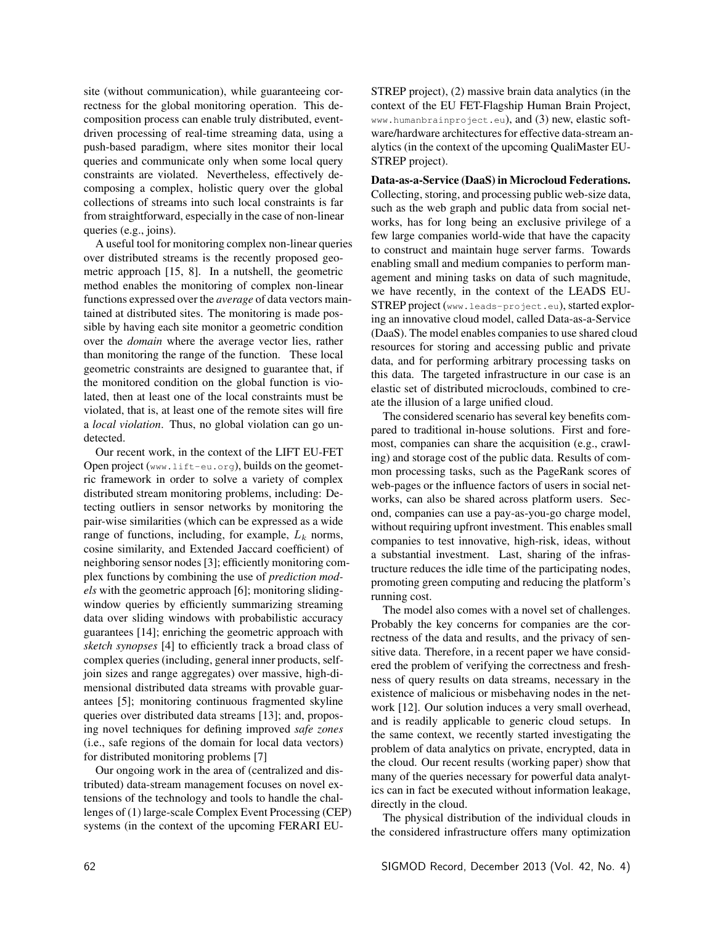site (without communication), while guaranteeing correctness for the global monitoring operation. This decomposition process can enable truly distributed, eventdriven processing of real-time streaming data, using a push-based paradigm, where sites monitor their local queries and communicate only when some local query constraints are violated. Nevertheless, effectively decomposing a complex, holistic query over the global collections of streams into such local constraints is far from straightforward, especially in the case of non-linear queries (e.g., joins).

A useful tool for monitoring complex non-linear queries over distributed streams is the recently proposed geometric approach [15, 8]. In a nutshell, the geometric method enables the monitoring of complex non-linear functions expressed over the *average* of data vectors maintained at distributed sites. The monitoring is made possible by having each site monitor a geometric condition over the *domain* where the average vector lies, rather than monitoring the range of the function. These local geometric constraints are designed to guarantee that, if the monitored condition on the global function is violated, then at least one of the local constraints must be violated, that is, at least one of the remote sites will fire a *local violation*. Thus, no global violation can go undetected.

Our recent work, in the context of the LIFT EU-FET Open project (www.lift-eu.org), builds on the geometric framework in order to solve a variety of complex distributed stream monitoring problems, including: Detecting outliers in sensor networks by monitoring the pair-wise similarities (which can be expressed as a wide range of functions, including, for example,  $L_k$  norms, cosine similarity, and Extended Jaccard coefficient) of neighboring sensor nodes [3]; efficiently monitoring complex functions by combining the use of *prediction models* with the geometric approach [6]; monitoring slidingwindow queries by efficiently summarizing streaming data over sliding windows with probabilistic accuracy guarantees [14]; enriching the geometric approach with *sketch synopses* [4] to efficiently track a broad class of complex queries (including, general inner products, selfjoin sizes and range aggregates) over massive, high-dimensional distributed data streams with provable guarantees [5]; monitoring continuous fragmented skyline queries over distributed data streams [13]; and, proposing novel techniques for defining improved *safe zones* (i.e., safe regions of the domain for local data vectors) for distributed monitoring problems [7]

Our ongoing work in the area of (centralized and distributed) data-stream management focuses on novel extensions of the technology and tools to handle the challenges of (1) large-scale Complex Event Processing (CEP) systems (in the context of the upcoming FERARI EU-

STREP project), (2) massive brain data analytics (in the context of the EU FET-Flagship Human Brain Project, www.humanbrainproject.eu), and (3) new, elastic software/hardware architectures for effective data-stream analytics (in the context of the upcoming QualiMaster EU-STREP project).

Data-as-a-Service (DaaS) in Microcloud Federations. Collecting, storing, and processing public web-size data, such as the web graph and public data from social networks, has for long being an exclusive privilege of a few large companies world-wide that have the capacity to construct and maintain huge server farms. Towards enabling small and medium companies to perform management and mining tasks on data of such magnitude, we have recently, in the context of the LEADS EU-STREP project (www.leads-project.eu), started exploring an innovative cloud model, called Data-as-a-Service (DaaS). The model enables companies to use shared cloud resources for storing and accessing public and private data, and for performing arbitrary processing tasks on this data. The targeted infrastructure in our case is an elastic set of distributed microclouds, combined to create the illusion of a large unified cloud.

The considered scenario has several key benefits compared to traditional in-house solutions. First and foremost, companies can share the acquisition (e.g., crawling) and storage cost of the public data. Results of common processing tasks, such as the PageRank scores of web-pages or the influence factors of users in social networks, can also be shared across platform users. Second, companies can use a pay-as-you-go charge model, without requiring upfront investment. This enables small companies to test innovative, high-risk, ideas, without a substantial investment. Last, sharing of the infrastructure reduces the idle time of the participating nodes, promoting green computing and reducing the platform's running cost.

The model also comes with a novel set of challenges. Probably the key concerns for companies are the correctness of the data and results, and the privacy of sensitive data. Therefore, in a recent paper we have considered the problem of verifying the correctness and freshness of query results on data streams, necessary in the existence of malicious or misbehaving nodes in the network [12]. Our solution induces a very small overhead, and is readily applicable to generic cloud setups. In the same context, we recently started investigating the problem of data analytics on private, encrypted, data in the cloud. Our recent results (working paper) show that many of the queries necessary for powerful data analytics can in fact be executed without information leakage, directly in the cloud.

The physical distribution of the individual clouds in the considered infrastructure offers many optimization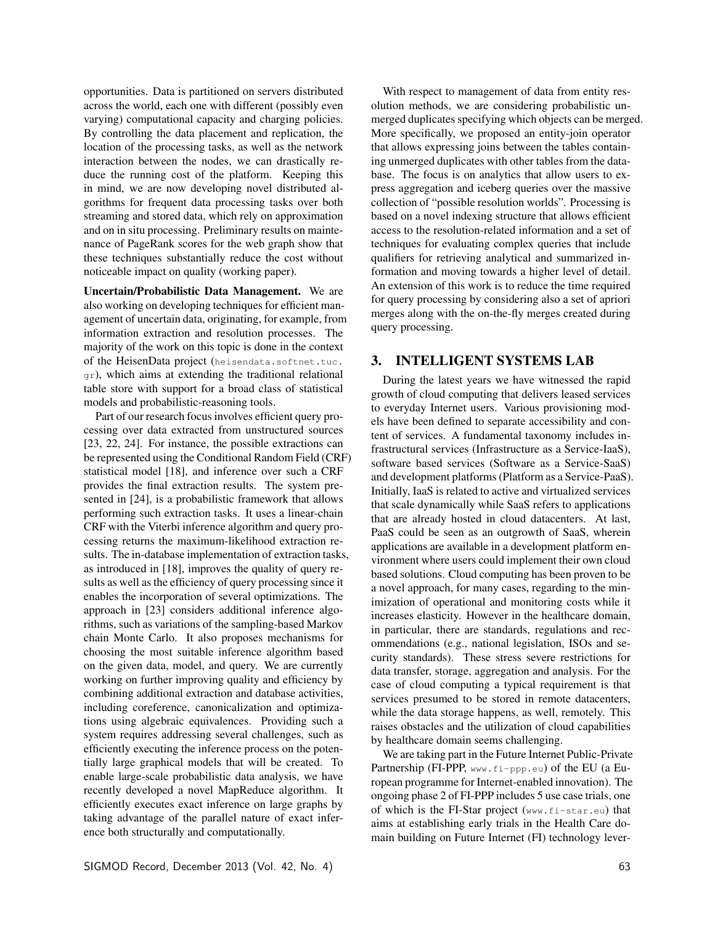opportunities. Data is partitioned on servers distributed across the world, each one with different (possibly even varying) computational capacity and charging policies. By controlling the data placement and replication, the location of the processing tasks, as well as the network interaction between the nodes, we can drastically reduce the running cost of the platform. Keeping this in mind, we are now developing novel distributed algorithms for frequent data processing tasks over both streaming and stored data, which rely on approximation and on in situ processing. Preliminary results on maintenance of PageRank scores for the web graph show that these techniques substantially reduce the cost without noticeable impact on quality (working paper).

Uncertain/Probabilistic Data Management. We are also working on developing techniques for efficient management of uncertain data, originating, for example, from information extraction and resolution processes. The majority of the work on this topic is done in the context of the HeisenData project (heisendata.softnet.tuc. gr), which aims at extending the traditional relational table store with support for a broad class of statistical models and probabilistic-reasoning tools.

Part of our research focus involves efficient query processing over data extracted from unstructured sources [23, 22, 24]. For instance, the possible extractions can be represented using the Conditional Random Field (CRF) statistical model [18], and inference over such a CRF provides the final extraction results. The system presented in [24], is a probabilistic framework that allows performing such extraction tasks. It uses a linear-chain CRF with the Viterbi inference algorithm and query processing returns the maximum-likelihood extraction results. The in-database implementation of extraction tasks, as introduced in [18], improves the quality of query results as well as the efficiency of query processing since it enables the incorporation of several optimizations. The approach in [23] considers additional inference algorithms, such as variations of the sampling-based Markov chain Monte Carlo. It also proposes mechanisms for choosing the most suitable inference algorithm based on the given data, model, and query. We are currently working on further improving quality and efficiency by combining additional extraction and database activities, including coreference, canonicalization and optimizations using algebraic equivalences. Providing such a system requires addressing several challenges, such as efficiently executing the inference process on the potentially large graphical models that will be created. To enable large-scale probabilistic data analysis, we have recently developed a novel MapReduce algorithm. It efficiently executes exact inference on large graphs by taking advantage of the parallel nature of exact inference both structurally and computationally.

With respect to management of data from entity resolution methods, we are considering probabilistic unmerged duplicates specifying which objects can be merged. More specifically, we proposed an entity-join operator that allows expressing joins between the tables containing unmerged duplicates with other tables from the database. The focus is on analytics that allow users to express aggregation and iceberg queries over the massive collection of "possible resolution worlds". Processing is based on a novel indexing structure that allows efficient access to the resolution-related information and a set of techniques for evaluating complex queries that include qualifiers for retrieving analytical and summarized information and moving towards a higher level of detail. An extension of this work is to reduce the time required for query processing by considering also a set of apriori merges along with the on-the-fly merges created during query processing.

## 3. INTELLIGENT SYSTEMS LAB

During the latest years we have witnessed the rapid growth of cloud computing that delivers leased services to everyday Internet users. Various provisioning models have been defined to separate accessibility and content of services. A fundamental taxonomy includes infrastructural services (Infrastructure as a Service-IaaS), software based services (Software as a Service-SaaS) and development platforms (Platform as a Service-PaaS). Initially, IaaS is related to active and virtualized services that scale dynamically while SaaS refers to applications that are already hosted in cloud datacenters. At last, PaaS could be seen as an outgrowth of SaaS, wherein applications are available in a development platform environment where users could implement their own cloud based solutions. Cloud computing has been proven to be a novel approach, for many cases, regarding to the minimization of operational and monitoring costs while it increases elasticity. However in the healthcare domain, in particular, there are standards, regulations and recommendations (e.g., national legislation, ISOs and security standards). These stress severe restrictions for data transfer, storage, aggregation and analysis. For the case of cloud computing a typical requirement is that services presumed to be stored in remote datacenters, while the data storage happens, as well, remotely. This raises obstacles and the utilization of cloud capabilities by healthcare domain seems challenging.

We are taking part in the Future Internet Public-Private Partnership (FI-PPP,  $www.fi-ppp.eu)$ ) of the EU (a European programme for Internet-enabled innovation). The ongoing phase 2 of FI-PPP includes 5 use case trials, one of which is the FI-Star project (www.fi-star.eu) that aims at establishing early trials in the Health Care domain building on Future Internet (FI) technology lever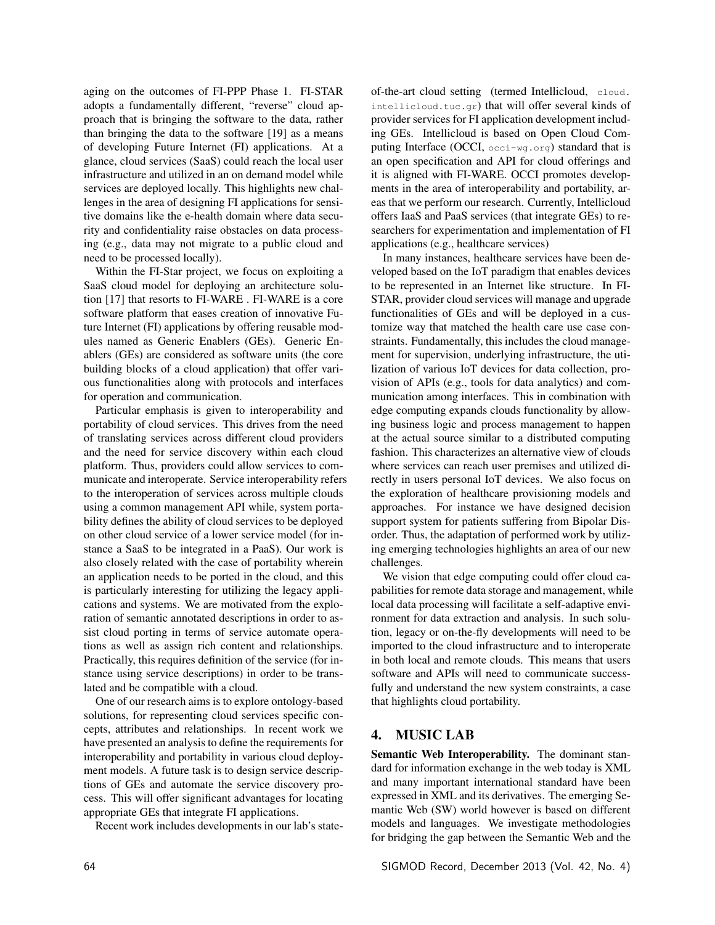aging on the outcomes of FI-PPP Phase 1. FI-STAR adopts a fundamentally different, "reverse" cloud approach that is bringing the software to the data, rather than bringing the data to the software [19] as a means of developing Future Internet (FI) applications. At a glance, cloud services (SaaS) could reach the local user infrastructure and utilized in an on demand model while services are deployed locally. This highlights new challenges in the area of designing FI applications for sensitive domains like the e-health domain where data security and confidentiality raise obstacles on data processing (e.g., data may not migrate to a public cloud and need to be processed locally).

Within the FI-Star project, we focus on exploiting a SaaS cloud model for deploying an architecture solution [17] that resorts to FI-WARE . FI-WARE is a core software platform that eases creation of innovative Future Internet (FI) applications by offering reusable modules named as Generic Enablers (GEs). Generic Enablers (GEs) are considered as software units (the core building blocks of a cloud application) that offer various functionalities along with protocols and interfaces for operation and communication.

Particular emphasis is given to interoperability and portability of cloud services. This drives from the need of translating services across different cloud providers and the need for service discovery within each cloud platform. Thus, providers could allow services to communicate and interoperate. Service interoperability refers to the interoperation of services across multiple clouds using a common management API while, system portability defines the ability of cloud services to be deployed on other cloud service of a lower service model (for instance a SaaS to be integrated in a PaaS). Our work is also closely related with the case of portability wherein an application needs to be ported in the cloud, and this is particularly interesting for utilizing the legacy applications and systems. We are motivated from the exploration of semantic annotated descriptions in order to assist cloud porting in terms of service automate operations as well as assign rich content and relationships. Practically, this requires definition of the service (for instance using service descriptions) in order to be translated and be compatible with a cloud.

One of our research aims is to explore ontology-based solutions, for representing cloud services specific concepts, attributes and relationships. In recent work we have presented an analysis to define the requirements for interoperability and portability in various cloud deployment models. A future task is to design service descriptions of GEs and automate the service discovery process. This will offer significant advantages for locating appropriate GEs that integrate FI applications.

Recent work includes developments in our lab's state-

of-the-art cloud setting (termed Intellicloud, cloud. intellicloud.tuc.gr) that will offer several kinds of provider services for FI application development including GEs. Intellicloud is based on Open Cloud Computing Interface (OCCI, occi-wg.org) standard that is an open specification and API for cloud offerings and it is aligned with FI-WARE. OCCI promotes developments in the area of interoperability and portability, areas that we perform our research. Currently, Intellicloud offers IaaS and PaaS services (that integrate GEs) to researchers for experimentation and implementation of FI applications (e.g., healthcare services)

In many instances, healthcare services have been developed based on the IoT paradigm that enables devices to be represented in an Internet like structure. In FI-STAR, provider cloud services will manage and upgrade functionalities of GEs and will be deployed in a customize way that matched the health care use case constraints. Fundamentally, this includes the cloud management for supervision, underlying infrastructure, the utilization of various IoT devices for data collection, provision of APIs (e.g., tools for data analytics) and communication among interfaces. This in combination with edge computing expands clouds functionality by allowing business logic and process management to happen at the actual source similar to a distributed computing fashion. This characterizes an alternative view of clouds where services can reach user premises and utilized directly in users personal IoT devices. We also focus on the exploration of healthcare provisioning models and approaches. For instance we have designed decision support system for patients suffering from Bipolar Disorder. Thus, the adaptation of performed work by utilizing emerging technologies highlights an area of our new challenges.

We vision that edge computing could offer cloud capabilities for remote data storage and management, while local data processing will facilitate a self-adaptive environment for data extraction and analysis. In such solution, legacy or on-the-fly developments will need to be imported to the cloud infrastructure and to interoperate in both local and remote clouds. This means that users software and APIs will need to communicate successfully and understand the new system constraints, a case that highlights cloud portability.

## 4. MUSIC LAB

Semantic Web Interoperability. The dominant standard for information exchange in the web today is XML and many important international standard have been expressed in XML and its derivatives. The emerging Semantic Web (SW) world however is based on different models and languages. We investigate methodologies for bridging the gap between the Semantic Web and the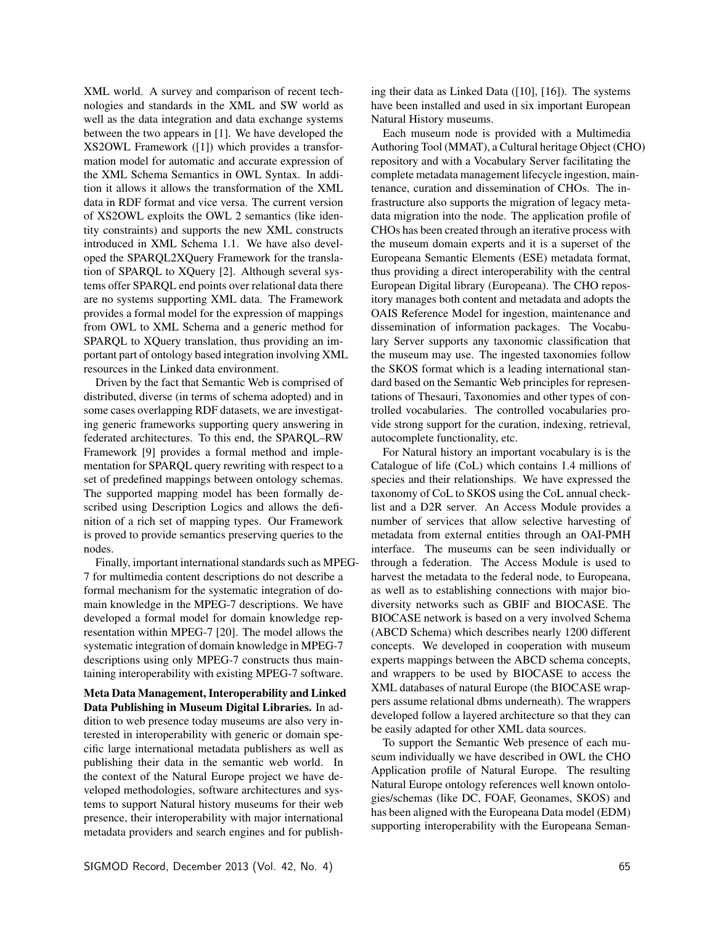XML world. A survey and comparison of recent technologies and standards in the XML and SW world as well as the data integration and data exchange systems between the two appears in [1]. We have developed the XS2OWL Framework ([1]) which provides a transformation model for automatic and accurate expression of the XML Schema Semantics in OWL Syntax. In addition it allows it allows the transformation of the XML data in RDF format and vice versa. The current version of XS2OWL exploits the OWL 2 semantics (like identity constraints) and supports the new XML constructs introduced in XML Schema 1.1. We have also developed the SPARQL2XQuery Framework for the translation of SPARQL to XQuery [2]. Although several systems offer SPARQL end points over relational data there are no systems supporting XML data. The Framework provides a formal model for the expression of mappings from OWL to XML Schema and a generic method for SPARQL to XQuery translation, thus providing an important part of ontology based integration involving XML resources in the Linked data environment.

Driven by the fact that Semantic Web is comprised of distributed, diverse (in terms of schema adopted) and in some cases overlapping RDF datasets, we are investigating generic frameworks supporting query answering in federated architectures. To this end, the SPARQL–RW Framework [9] provides a formal method and implementation for SPARQL query rewriting with respect to a set of predefined mappings between ontology schemas. The supported mapping model has been formally described using Description Logics and allows the definition of a rich set of mapping types. Our Framework is proved to provide semantics preserving queries to the nodes.

Finally, important international standards such as MPEG-7 for multimedia content descriptions do not describe a formal mechanism for the systematic integration of domain knowledge in the MPEG-7 descriptions. We have developed a formal model for domain knowledge representation within MPEG-7 [20]. The model allows the systematic integration of domain knowledge in MPEG-7 descriptions using only MPEG-7 constructs thus maintaining interoperability with existing MPEG-7 software.

Meta Data Management, Interoperability and Linked Data Publishing in Museum Digital Libraries. In addition to web presence today museums are also very interested in interoperability with generic or domain specific large international metadata publishers as well as publishing their data in the semantic web world. In the context of the Natural Europe project we have developed methodologies, software architectures and systems to support Natural history museums for their web presence, their interoperability with major international metadata providers and search engines and for publishing their data as Linked Data ([10], [16]). The systems have been installed and used in six important European Natural History museums.

Each museum node is provided with a Multimedia Authoring Tool (MMAT), a Cultural heritage Object (CHO) repository and with a Vocabulary Server facilitating the complete metadata management lifecycle ingestion, maintenance, curation and dissemination of CHOs. The infrastructure also supports the migration of legacy metadata migration into the node. The application profile of CHOs has been created through an iterative process with the museum domain experts and it is a superset of the Europeana Semantic Elements (ESE) metadata format, thus providing a direct interoperability with the central European Digital library (Europeana). The CHO repository manages both content and metadata and adopts the OAIS Reference Model for ingestion, maintenance and dissemination of information packages. The Vocabulary Server supports any taxonomic classification that the museum may use. The ingested taxonomies follow the SKOS format which is a leading international standard based on the Semantic Web principles for representations of Thesauri, Taxonomies and other types of controlled vocabularies. The controlled vocabularies provide strong support for the curation, indexing, retrieval, autocomplete functionality, etc.

For Natural history an important vocabulary is is the Catalogue of life (CoL) which contains 1.4 millions of species and their relationships. We have expressed the taxonomy of CoL to SKOS using the CoL annual checklist and a D2R server. An Access Module provides a number of services that allow selective harvesting of metadata from external entities through an OAI-PMH interface. The museums can be seen individually or through a federation. The Access Module is used to harvest the metadata to the federal node, to Europeana, as well as to establishing connections with major biodiversity networks such as GBIF and BIOCASE. The BIOCASE network is based on a very involved Schema (ABCD Schema) which describes nearly 1200 different concepts. We developed in cooperation with museum experts mappings between the ABCD schema concepts, and wrappers to be used by BIOCASE to access the XML databases of natural Europe (the BIOCASE wrappers assume relational dbms underneath). The wrappers developed follow a layered architecture so that they can be easily adapted for other XML data sources.

To support the Semantic Web presence of each museum individually we have described in OWL the CHO Application profile of Natural Europe. The resulting Natural Europe ontology references well known ontologies/schemas (like DC, FOAF, Geonames, SKOS) and has been aligned with the Europeana Data model (EDM) supporting interoperability with the Europeana Seman